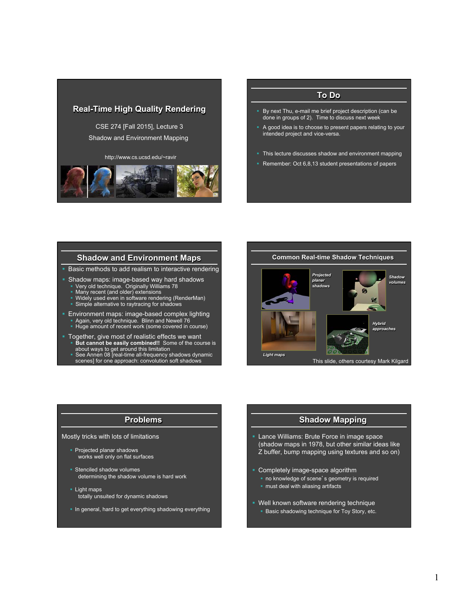

CSE 274 [Fall 2015], Lecture 3 Shadow and Environment Mapping

http://www.cs.ucsd.edu/~ravir



## **To Do**

- § By next Thu, e-mail me brief project description (can be done in groups of 2). Time to discuss next week
- A good idea is to choose to present papers relating to your intended project and vice-versa.
- This lecture discusses shadow and environment mapping
- Remember: Oct 6,8,13 student presentations of papers

## **Shadow and Environment Maps**

**• Basic methods to add realism to interactive rendering** 

- Shadow maps: image-based way hard shadows<br>• Very old technique. Originally Williams 78<br>• Many recent (and older) extensions<br>• Widely used even in software rendering (RenderMan)<br>• Simple alternative to raytracing for shad
	-
	-
	-
- § Environment maps: image-based complex lighting
- Again, very old technique. Blinn and Newell 76<br>■ Huge amount of recent work (some covered in course)
- § Together, give most of realistic effects we want § **But cannot be easily combined!!** Some of the course is
	- about ways to get around this limitation § See Annen 08 [real-time all-frequency shadows dynamic scenes] for one approach: convolution soft shadows



# **Problems**

#### Mostly tricks with lots of limitations

- § Projected planar shadows works well only on flat surfaces
- § Stenciled shadow volumes determining the shadow volume is hard work
- § Light maps totally unsuited for dynamic shadows
- § In general, hard to get everything shadowing everything

# **Shadow Mapping**

- § Lance Williams: Brute Force in image space (shadow maps in 1978, but other similar ideas like Z buffer, bump mapping using textures and so on)
- § Completely image-space algorithm
	- **•** no knowledge of scene's geometry is required
	- must deal with aliasing artifacts
- § Well known software rendering technique
	- **Basic shadowing technique for Toy Story, etc.**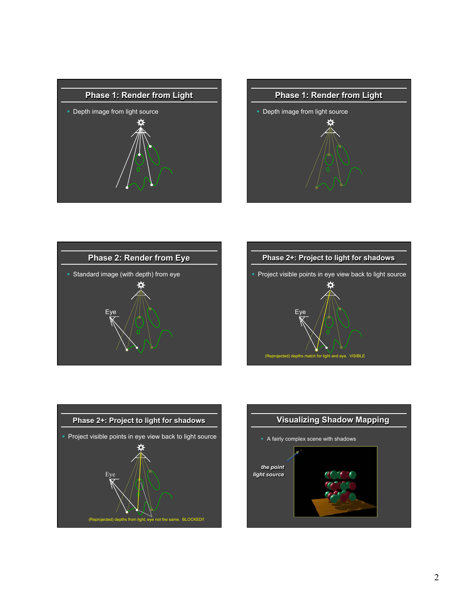









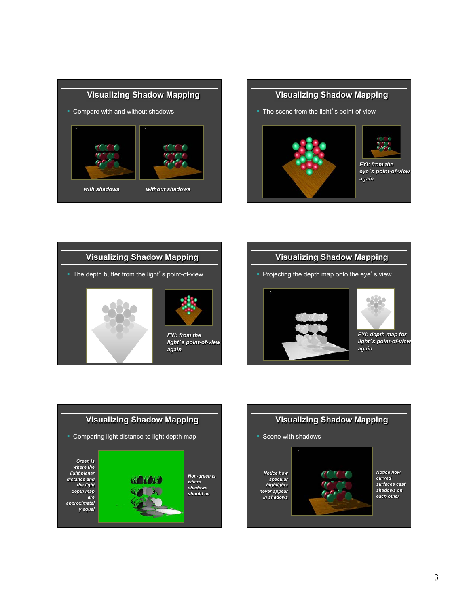





# **Visualizing Shadow Mapping**

• Projecting the depth map onto the eye's view





*FYI: depth map for light*'*s point-of-view again* 



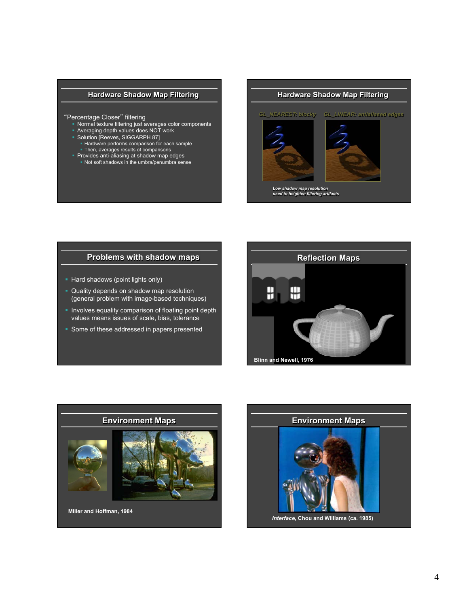# **Hardware Shadow Map Filtering**

#### "Percentage Closer" filtering

- § Normal texture filtering just averages color components
- § Averaging depth values does NOT work
- § Solution [Reeves, SIGGARPH 87]
- § Hardware performs comparison for each sample
- § Then, averages results of comparisons § Provides anti-aliasing at shadow map edges
- § Not soft shadows in the umbra/penumbra sense

# **Hardware Shadow Map Filtering**  *GL\_NEAREST: blocky GL\_LINEAR: antialiased edges Low shadow map resolution used to heighten filtering artifacts*

# **Problems with shadow maps**

- Hard shadows (point lights only)
- § Quality depends on shadow map resolution (general problem with image-based techniques)
- § Involves equality comparison of floating point depth values means issues of scale, bias, tolerance
- Some of these addressed in papers presented





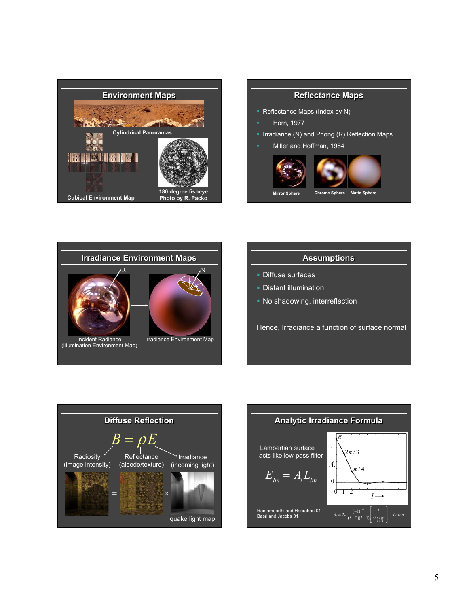

# **Reflectance Maps**  § Reflectance Maps (Index by N) § Horn, 1977 § Irradiance (N) and Phong (R) Reflection Maps Miller and Hoffman, 1984

**Mirror Sphere Chrome Sphere Matte Sphere** 



# **Assumptions**

- § Diffuse surfaces
- **Distant illumination**
- No shadowing, interreflection

Hence, Irradiance a function of surface normal